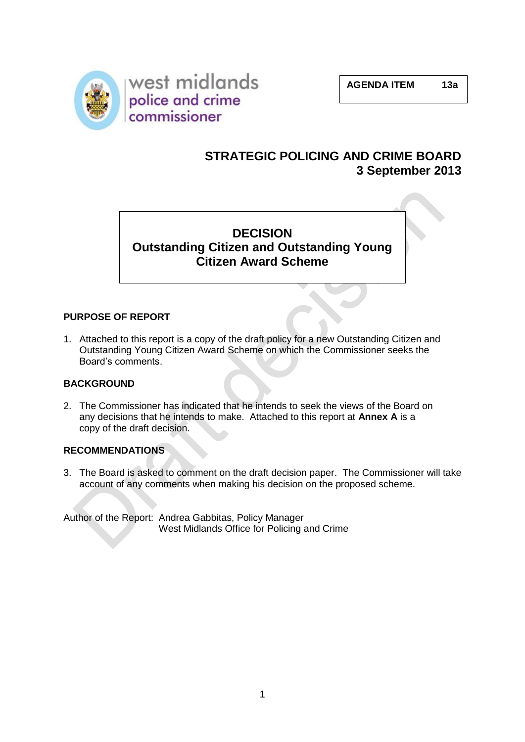

## **STRATEGIC POLICING AND CRIME BOARD 3 September 2013**

# **DECISION Outstanding Citizen and Outstanding Young Citizen Award Scheme**

#### **PURPOSE OF REPORT**

1. Attached to this report is a copy of the draft policy for a new Outstanding Citizen and Outstanding Young Citizen Award Scheme on which the Commissioner seeks the Board's comments.

#### **BACKGROUND**

2. The Commissioner has indicated that he intends to seek the views of the Board on any decisions that he intends to make. Attached to this report at **Annex A** is a copy of the draft decision.

#### **RECOMMENDATIONS**

3. The Board is asked to comment on the draft decision paper. The Commissioner will take account of any comments when making his decision on the proposed scheme.

Author of the Report: Andrea Gabbitas, Policy Manager West Midlands Office for Policing and Crime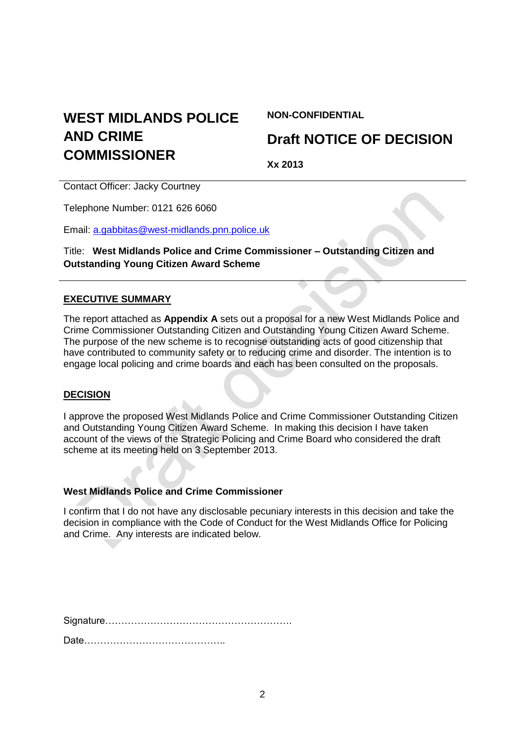# **WEST MIDLANDS POLICE AND CRIME COMMISSIONER**

#### **NON-CONFIDENTIAL**

# **Draft NOTICE OF DECISION**

**Xx 2013**

Contact Officer: Jacky Courtney

Telephone Number: 0121 626 6060

Email: [a.gabbitas@west-midlands.pnn.police.uk](mailto:a.gabbitas@west-midlands.pnn.police.uk)

Title: **West Midlands Police and Crime Commissioner – Outstanding Citizen and Outstanding Young Citizen Award Scheme**

#### **EXECUTIVE SUMMARY**

The report attached as **Appendix A** sets out a proposal for a new West Midlands Police and Crime Commissioner Outstanding Citizen and Outstanding Young Citizen Award Scheme. The purpose of the new scheme is to recognise outstanding acts of good citizenship that have contributed to community safety or to reducing crime and disorder. The intention is to engage local policing and crime boards and each has been consulted on the proposals.

#### **DECISION**

I approve the proposed West Midlands Police and Crime Commissioner Outstanding Citizen and Outstanding Young Citizen Award Scheme. In making this decision I have taken account of the views of the Strategic Policing and Crime Board who considered the draft scheme at its meeting held on 3 September 2013.

#### **West Midlands Police and Crime Commissioner**

I confirm that I do not have any disclosable pecuniary interests in this decision and take the decision in compliance with the Code of Conduct for the West Midlands Office for Policing and Crime. Any interests are indicated below.

Signature………………………………………………….

Date……………………………………..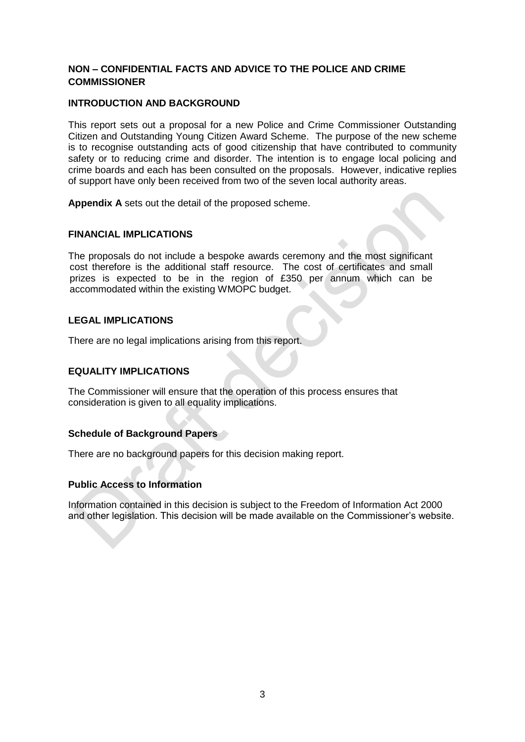#### **NON – CONFIDENTIAL FACTS AND ADVICE TO THE POLICE AND CRIME COMMISSIONER**

#### **INTRODUCTION AND BACKGROUND**

This report sets out a proposal for a new Police and Crime Commissioner Outstanding Citizen and Outstanding Young Citizen Award Scheme. The purpose of the new scheme is to recognise outstanding acts of good citizenship that have contributed to community safety or to reducing crime and disorder. The intention is to engage local policing and crime boards and each has been consulted on the proposals. However, indicative replies of support have only been received from two of the seven local authority areas.

**Appendix A** sets out the detail of the proposed scheme.

#### **FINANCIAL IMPLICATIONS**

The proposals do not include a bespoke awards ceremony and the most significant cost therefore is the additional staff resource. The cost of certificates and small prizes is expected to be in the region of £350 per annum which can be accommodated within the existing WMOPC budget.

#### **LEGAL IMPLICATIONS**

There are no legal implications arising from this report.

#### **EQUALITY IMPLICATIONS**

The Commissioner will ensure that the operation of this process ensures that consideration is given to all equality implications.

#### **Schedule of Background Papers**

There are no background papers for this decision making report.

#### **Public Access to Information**

Information contained in this decision is subject to the Freedom of Information Act 2000 and other legislation. This decision will be made available on the Commissioner's website.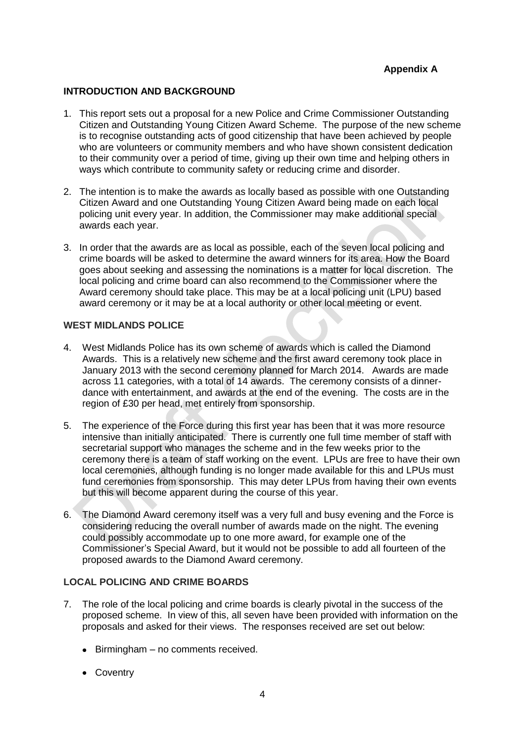#### **INTRODUCTION AND BACKGROUND**

- 1. This report sets out a proposal for a new Police and Crime Commissioner Outstanding Citizen and Outstanding Young Citizen Award Scheme. The purpose of the new scheme is to recognise outstanding acts of good citizenship that have been achieved by people who are volunteers or community members and who have shown consistent dedication to their community over a period of time, giving up their own time and helping others in ways which contribute to community safety or reducing crime and disorder.
- 2. The intention is to make the awards as locally based as possible with one Outstanding Citizen Award and one Outstanding Young Citizen Award being made on each local policing unit every year. In addition, the Commissioner may make additional special awards each year.
- 3. In order that the awards are as local as possible, each of the seven local policing and crime boards will be asked to determine the award winners for its area. How the Board goes about seeking and assessing the nominations is a matter for local discretion. The local policing and crime board can also recommend to the Commissioner where the Award ceremony should take place. This may be at a local policing unit (LPU) based award ceremony or it may be at a local authority or other local meeting or event.

#### **WEST MIDLANDS POLICE**

- 4. West Midlands Police has its own scheme of awards which is called the Diamond Awards. This is a relatively new scheme and the first award ceremony took place in January 2013 with the second ceremony planned for March 2014. Awards are made across 11 categories, with a total of 14 awards. The ceremony consists of a dinnerdance with entertainment, and awards at the end of the evening. The costs are in the region of £30 per head, met entirely from sponsorship.
- 5. The experience of the Force during this first year has been that it was more resource intensive than initially anticipated. There is currently one full time member of staff with secretarial support who manages the scheme and in the few weeks prior to the ceremony there is a team of staff working on the event. LPUs are free to have their own local ceremonies, although funding is no longer made available for this and LPUs must fund ceremonies from sponsorship. This may deter LPUs from having their own events but this will become apparent during the course of this year.
- 6. The Diamond Award ceremony itself was a very full and busy evening and the Force is considering reducing the overall number of awards made on the night. The evening could possibly accommodate up to one more award, for example one of the Commissioner's Special Award, but it would not be possible to add all fourteen of the proposed awards to the Diamond Award ceremony.

#### **LOCAL POLICING AND CRIME BOARDS**

- 7. The role of the local policing and crime boards is clearly pivotal in the success of the proposed scheme. In view of this, all seven have been provided with information on the proposals and asked for their views. The responses received are set out below:
	- Birmingham no comments received.
	- Coventry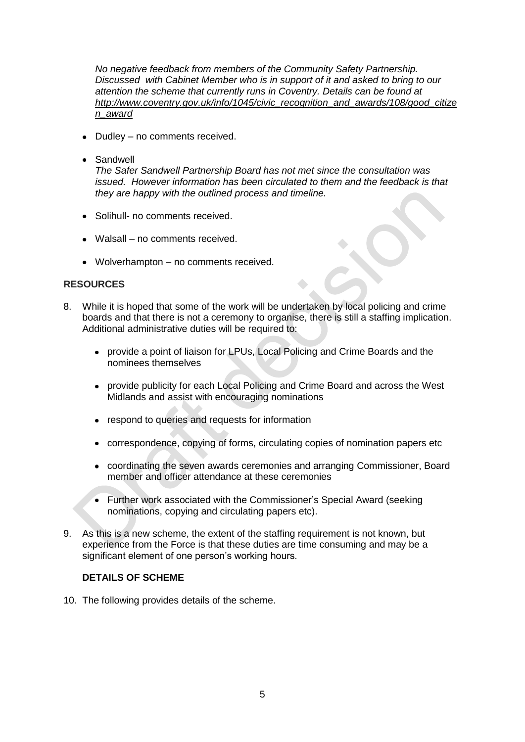*No negative feedback from members of the Community Safety Partnership. Discussed with Cabinet Member who is in support of it and asked to bring to our attention the scheme that currently runs in Coventry. Details can be found at [http://www.coventry.gov.uk/info/1045/civic\\_recognition\\_and\\_awards/108/good\\_citize](http://www.coventry.gov.uk/info/1045/civic_recognition_and_awards/108/good_citizen_award) [n\\_award](http://www.coventry.gov.uk/info/1045/civic_recognition_and_awards/108/good_citizen_award)*

- Dudley no comments received.
- Sandwell

*The Safer Sandwell Partnership Board has not met since the consultation was issued. However information has been circulated to them and the feedback is that they are happy with the outlined process and timeline.*

- Solihull- no comments received.
- Walsall no comments received.
- Wolverhampton no comments received.

#### **RESOURCES**

- 8. While it is hoped that some of the work will be undertaken by local policing and crime boards and that there is not a ceremony to organise, there is still a staffing implication. Additional administrative duties will be required to:
	- provide a point of liaison for LPUs, Local Policing and Crime Boards and the nominees themselves
	- provide publicity for each Local Policing and Crime Board and across the West Midlands and assist with encouraging nominations
	- respond to queries and requests for information
	- correspondence, copying of forms, circulating copies of nomination papers etc
	- coordinating the seven awards ceremonies and arranging Commissioner, Board member and officer attendance at these ceremonies
	- Further work associated with the Commissioner's Special Award (seeking nominations, copying and circulating papers etc).
- 9. As this is a new scheme, the extent of the staffing requirement is not known, but experience from the Force is that these duties are time consuming and may be a significant element of one person's working hours.

#### **DETAILS OF SCHEME**

10. The following provides details of the scheme.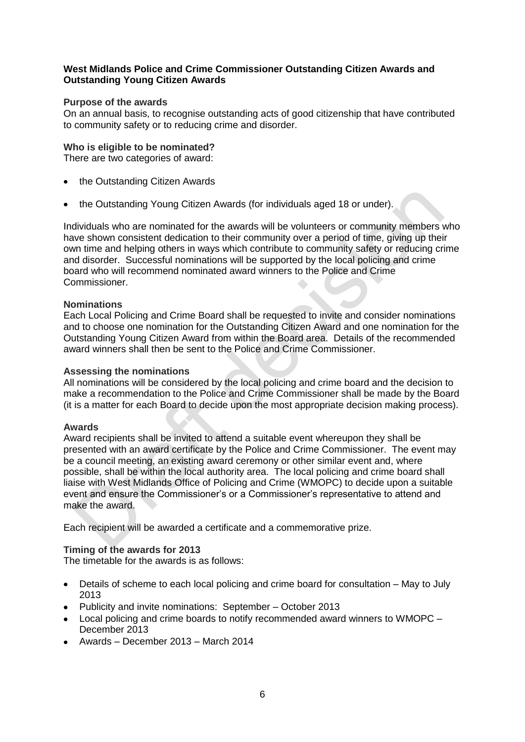#### **West Midlands Police and Crime Commissioner Outstanding Citizen Awards and Outstanding Young Citizen Awards**

#### **Purpose of the awards**

On an annual basis, to recognise outstanding acts of good citizenship that have contributed to community safety or to reducing crime and disorder.

#### **Who is eligible to be nominated?**

There are two categories of award:

- the Outstanding Citizen Awards
- the Outstanding Young Citizen Awards (for individuals aged 18 or under).

Individuals who are nominated for the awards will be volunteers or community members who have shown consistent dedication to their community over a period of time, giving up their own time and helping others in ways which contribute to community safety or reducing crime and disorder. Successful nominations will be supported by the local policing and crime board who will recommend nominated award winners to the Police and Crime Commissioner.

#### **Nominations**

Each Local Policing and Crime Board shall be requested to invite and consider nominations and to choose one nomination for the Outstanding Citizen Award and one nomination for the Outstanding Young Citizen Award from within the Board area. Details of the recommended award winners shall then be sent to the Police and Crime Commissioner.

#### **Assessing the nominations**

All nominations will be considered by the local policing and crime board and the decision to make a recommendation to the Police and Crime Commissioner shall be made by the Board (it is a matter for each Board to decide upon the most appropriate decision making process).

#### **Awards**

Award recipients shall be invited to attend a suitable event whereupon they shall be presented with an award certificate by the Police and Crime Commissioner. The event may be a council meeting, an existing award ceremony or other similar event and, where possible, shall be within the local authority area. The local policing and crime board shall liaise with West Midlands Office of Policing and Crime (WMOPC) to decide upon a suitable event and ensure the Commissioner's or a Commissioner's representative to attend and make the award.

Each recipient will be awarded a certificate and a commemorative prize.

#### **Timing of the awards for 2013**

The timetable for the awards is as follows:

- Details of scheme to each local policing and crime board for consultation May to July 2013
- Publicity and invite nominations: September October 2013
- Local policing and crime boards to notify recommended award winners to WMOPC December 2013
- Awards December 2013 March 2014